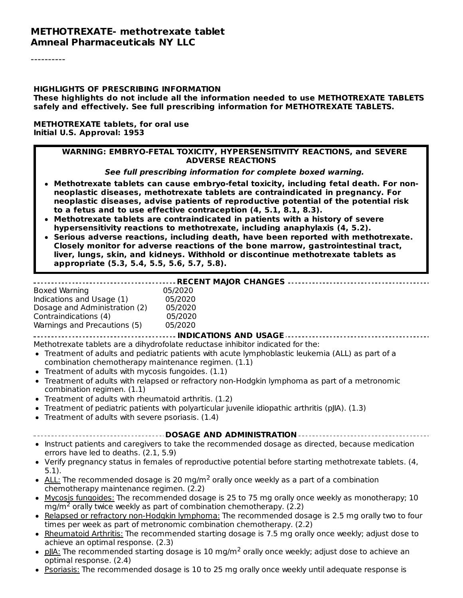#### **METHOTREXATE- methotrexate tablet Amneal Pharmaceuticals NY LLC**

#### **HIGHLIGHTS OF PRESCRIBING INFORMATION**

**These highlights do not include all the information needed to use METHOTREXATE TABLETS safely and effectively. See full prescribing information for METHOTREXATE TABLETS.**

#### **METHOTREXATE tablets, for oral use Initial U.S. Approval: 1953**

#### **WARNING: EMBRYO-FETAL TOXICITY, HYPERSENSITIVITY REACTIONS, and SEVERE ADVERSE REACTIONS**

**See full prescribing information for complete boxed warning.**

- **Methotrexate tablets can cause embryo-fetal toxicity, including fetal death. For nonneoplastic diseases, methotrexate tablets are contraindicated in pregnancy. For neoplastic diseases, advise patients of reproductive potential of the potential risk to a fetus and to use effective contraception (4, 5.1, 8.1, 8.3).**
- **Methotrexate tablets are contraindicated in patients with a history of severe hypersensitivity reactions to methotrexate, including anaphylaxis (4, 5.2).**
- **Serious adverse reactions, including death, have been reported with methotrexate. Closely monitor for adverse reactions of the bone marrow, gastrointestinal tract, liver, lungs, skin, and kidneys. Withhold or discontinue methotrexate tablets as appropriate (5.3, 5.4, 5.5, 5.6, 5.7, 5.8).**

#### **RECENT MAJOR CHANGES**

| <b>Boxed Warning</b>          | 05/2020 |
|-------------------------------|---------|
| Indications and Usage (1)     | 05/2020 |
| Dosage and Administration (2) | 05/2020 |
| Contraindications (4)         | 05/2020 |
| Warnings and Precautions (5)  | 05/2020 |
|                               |         |

#### **INDICATIONS AND USAGE**

Methotrexate tablets are a dihydrofolate reductase inhibitor indicated for the:

- Treatment of adults and pediatric patients with acute lymphoblastic leukemia (ALL) as part of a combination chemotherapy maintenance regimen. (1.1)
- $\bullet$  Treatment of adults with mycosis fungoides.  $(1.1)$
- Treatment of adults with relapsed or refractory non-Hodgkin lymphoma as part of a metronomic combination regimen. (1.1)
- Treatment of adults with rheumatoid arthritis. (1.2)
- Treatment of pediatric patients with polyarticular juvenile idiopathic arthritis (pJIA). (1.3)
- Treatment of adults with severe psoriasis. (1.4)

#### **DOSAGE AND ADMINISTRATION**

- Instruct patients and caregivers to take the recommended dosage as directed, because medication  $\bullet$ errors have led to deaths. (2.1, 5.9)
- Verify pregnancy status in females of reproductive potential before starting methotrexate tablets. (4,  $\bullet$ 5.1).
- $ALL$ : The recommended dosage is 20 mg/m<sup>2</sup> orally once weekly as a part of a combination chemotherapy maintenance regimen. (2.2)
- Mycosis fungoides: The recommended dosage is 25 to 75 mg orally once weekly as monotherapy; 10  $mg/m<sup>2</sup>$  orally twice weekly as part of combination chemotherapy. (2.2)
- Relapsed or refractory non-Hodgkin lymphoma: The recommended dosage is 2.5 mg orally two to four times per week as part of metronomic combination chemotherapy. (2.2)
- Rheumatoid Arthritis: The recommended starting dosage is 7.5 mg orally once weekly; adjust dose to achieve an optimal response. (2.3)
- pllA: The recommended starting dosage is 10 mg/m<sup>2</sup> orally once weekly; adjust dose to achieve an optimal response. (2.4)
- Psoriasis: The recommended dosage is 10 to 25 mg orally once weekly until adequate response is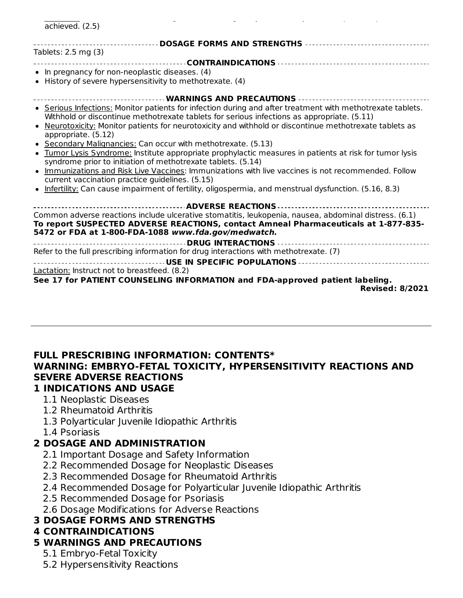| achieved. (2.5)                                                                                            |
|------------------------------------------------------------------------------------------------------------|
| -------------------- DOSAGE FORMS AND STRENGTHS ---------------------------------                          |
| Tablets: 2.5 mg (3)                                                                                        |
|                                                                                                            |
| • In pregnancy for non-neoplastic diseases. (4)                                                            |
| • History of severe hypersensitivity to methotrexate. (4)                                                  |
| -------------------------- WARNINGS AND PRECAUTIONS ----------------------------                           |
| • Serious Infections: Monitor patients for infection during and after treatment with methotrexate tablets. |
| Withhold or discontinue methotrexate tablets for serious infections as appropriate. (5.11)                 |
| . Neurotoxicity: Monitor patients for neurotoxicity and withhold or discontinue methotrexate tablets as    |
| appropriate. (5.12)<br>• Secondary Malignancies: Can occur with methotrexate. (5.13)                       |
| • Tumor Lysis Syndrome: Institute appropriate prophylactic measures in patients at risk for tumor lysis    |
| syndrome prior to initiation of methotrexate tablets. (5.14)                                               |
| • Immunizations and Risk Live Vaccines: Immunizations with live vaccines is not recommended. Follow        |
| current vaccination practice guidelines. (5.15)                                                            |
| • Infertility: Can cause impairment of fertility, oligospermia, and menstrual dysfunction. (5.16, 8.3)     |
|                                                                                                            |
| Common adverse reactions include ulcerative stomatitis, leukopenia, nausea, abdominal distress. (6.1)      |
| To report SUSPECTED ADVERSE REACTIONS, contact Amneal Pharmaceuticals at 1-877-835-                        |
| 5472 or FDA at 1-800-FDA-1088 www.fda.gov/medwatch.                                                        |
|                                                                                                            |
| Refer to the full prescribing information for drug interactions with methotrexate. (7)                     |
| Lactation: Instruct not to breastfeed. (8.2)                                                               |
|                                                                                                            |
| <b>Revised: 8/2021</b>                                                                                     |
| See 17 for PATIENT COUNSELING INFORMATION and FDA-approved patient labeling.                               |

#### **FULL PRESCRIBING INFORMATION: CONTENTS\* WARNING: EMBRYO-FETAL TOXICITY, HYPERSENSITIVITY REACTIONS AND SEVERE ADVERSE REACTIONS**

#### **1 INDICATIONS AND USAGE**

- 1.1 Neoplastic Diseases
- 1.2 Rheumatoid Arthritis
- 1.3 Polyarticular Juvenile Idiopathic Arthritis
- 1.4 Psoriasis

# **2 DOSAGE AND ADMINISTRATION**

- 2.1 Important Dosage and Safety Information
- 2.2 Recommended Dosage for Neoplastic Diseases
- 2.3 Recommended Dosage for Rheumatoid Arthritis
- 2.4 Recommended Dosage for Polyarticular Juvenile Idiopathic Arthritis
- 2.5 Recommended Dosage for Psoriasis
- 2.6 Dosage Modifications for Adverse Reactions

# **3 DOSAGE FORMS AND STRENGTHS**

# **4 CONTRAINDICATIONS**

# **5 WARNINGS AND PRECAUTIONS**

- 5.1 Embryo-Fetal Toxicity
- 5.2 Hypersensitivity Reactions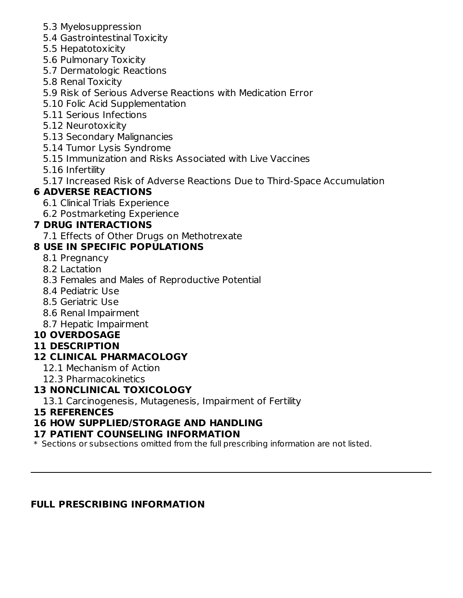- 5.3 Myelosuppression
- 5.4 Gastrointestinal Toxicity
- 5.5 Hepatotoxicity
- 5.6 Pulmonary Toxicity
- 5.7 Dermatologic Reactions
- 5.8 Renal Toxicity
- 5.9 Risk of Serious Adverse Reactions with Medication Error
- 5.10 Folic Acid Supplementation
- 5.11 Serious Infections
- 5.12 Neurotoxicity
- 5.13 Secondary Malignancies
- 5.14 Tumor Lysis Syndrome
- 5.15 Immunization and Risks Associated with Live Vaccines
- 5.16 Infertility
- 5.17 Increased Risk of Adverse Reactions Due to Third-Space Accumulation

# **6 ADVERSE REACTIONS**

- 6.1 Clinical Trials Experience
- 6.2 Postmarketing Experience

# **7 DRUG INTERACTIONS**

7.1 Effects of Other Drugs on Methotrexate

# **8 USE IN SPECIFIC POPULATIONS**

- 8.1 Pregnancy
- 8.2 Lactation
- 8.3 Females and Males of Reproductive Potential
- 8.4 Pediatric Use
- 8.5 Geriatric Use
- 8.6 Renal Impairment
- 8.7 Hepatic Impairment

# **10 OVERDOSAGE**

# **11 DESCRIPTION**

# **12 CLINICAL PHARMACOLOGY**

- 12.1 Mechanism of Action
- 12.3 Pharmacokinetics

# **13 NONCLINICAL TOXICOLOGY**

13.1 Carcinogenesis, Mutagenesis, Impairment of Fertility

#### **15 REFERENCES**

# **16 HOW SUPPLIED/STORAGE AND HANDLING**

#### **17 PATIENT COUNSELING INFORMATION**

\* Sections or subsections omitted from the full prescribing information are not listed.

# **FULL PRESCRIBING INFORMATION**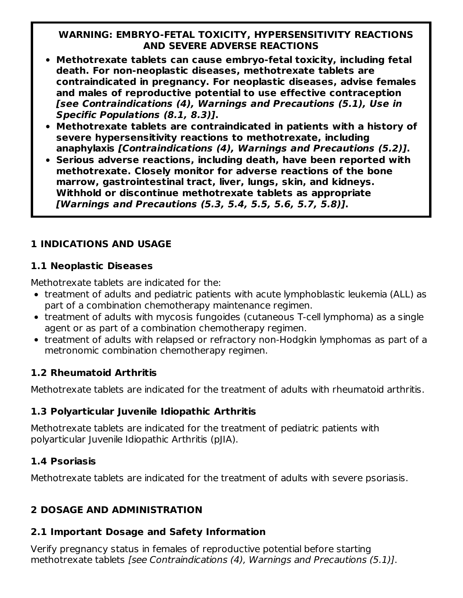#### **WARNING: EMBRYO-FETAL TOXICITY, HYPERSENSITIVITY REACTIONS AND SEVERE ADVERSE REACTIONS**

- **Methotrexate tablets can cause embryo-fetal toxicity, including fetal death. For non-neoplastic diseases, methotrexate tablets are contraindicated in pregnancy. For neoplastic diseases, advise females and males of reproductive potential to use effective contraception [see Contraindications (4), Warnings and Precautions (5.1), Use in Specific Populations (8.1, 8.3)].**
- **Methotrexate tablets are contraindicated in patients with a history of severe hypersensitivity reactions to methotrexate, including anaphylaxis [Contraindications (4), Warnings and Precautions (5.2)].**
- **Serious adverse reactions, including death, have been reported with methotrexate. Closely monitor for adverse reactions of the bone marrow, gastrointestinal tract, liver, lungs, skin, and kidneys. Withhold or discontinue methotrexate tablets as appropriate [Warnings and Precautions (5.3, 5.4, 5.5, 5.6, 5.7, 5.8)].**

# **1 INDICATIONS AND USAGE**

#### **1.1 Neoplastic Diseases**

Methotrexate tablets are indicated for the:

- treatment of adults and pediatric patients with acute lymphoblastic leukemia (ALL) as part of a combination chemotherapy maintenance regimen.
- treatment of adults with mycosis fungoides (cutaneous T-cell lymphoma) as a single agent or as part of a combination chemotherapy regimen.
- treatment of adults with relapsed or refractory non-Hodgkin lymphomas as part of a metronomic combination chemotherapy regimen.

# **1.2 Rheumatoid Arthritis**

Methotrexate tablets are indicated for the treatment of adults with rheumatoid arthritis.

#### **1.3 Polyarticular Juvenile Idiopathic Arthritis**

Methotrexate tablets are indicated for the treatment of pediatric patients with polyarticular Juvenile Idiopathic Arthritis (pJIA).

# **1.4 Psoriasis**

Methotrexate tablets are indicated for the treatment of adults with severe psoriasis.

# **2 DOSAGE AND ADMINISTRATION**

# **2.1 Important Dosage and Safety Information**

Verify pregnancy status in females of reproductive potential before starting methotrexate tablets [see Contraindications (4), Warnings and Precautions (5.1)].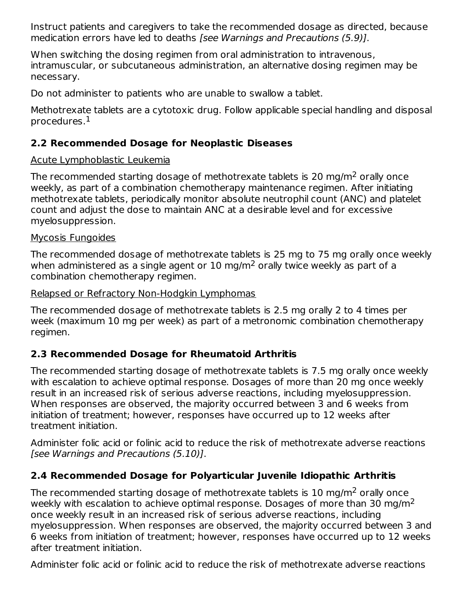Instruct patients and caregivers to take the recommended dosage as directed, because medication errors have led to deaths [see Warnings and Precautions (5.9)].

When switching the dosing regimen from oral administration to intravenous, intramuscular, or subcutaneous administration, an alternative dosing regimen may be necessary.

Do not administer to patients who are unable to swallow a tablet.

Methotrexate tablets are a cytotoxic drug. Follow applicable special handling and disposal procedures. $^{\rm 1}$ 

# **2.2 Recommended Dosage for Neoplastic Diseases**

## Acute Lymphoblastic Leukemia

The recommended starting dosage of methotrexate tablets is 20 mg/m<sup>2</sup> orally once weekly, as part of a combination chemotherapy maintenance regimen. After initiating methotrexate tablets, periodically monitor absolute neutrophil count (ANC) and platelet count and adjust the dose to maintain ANC at a desirable level and for excessive myelosuppression.

## Mycosis Fungoides

The recommended dosage of methotrexate tablets is 25 mg to 75 mg orally once weekly when administered as a single agent or  $10 \text{ mg/m}^2$  orally twice weekly as part of a combination chemotherapy regimen.

Relapsed or Refractory Non-Hodgkin Lymphomas

The recommended dosage of methotrexate tablets is 2.5 mg orally 2 to 4 times per week (maximum 10 mg per week) as part of a metronomic combination chemotherapy regimen.

# **2.3 Recommended Dosage for Rheumatoid Arthritis**

The recommended starting dosage of methotrexate tablets is 7.5 mg orally once weekly with escalation to achieve optimal response. Dosages of more than 20 mg once weekly result in an increased risk of serious adverse reactions, including myelosuppression. When responses are observed, the majority occurred between 3 and 6 weeks from initiation of treatment; however, responses have occurred up to 12 weeks after treatment initiation.

Administer folic acid or folinic acid to reduce the risk of methotrexate adverse reactions [see Warnings and Precautions (5.10)].

# **2.4 Recommended Dosage for Polyarticular Juvenile Idiopathic Arthritis**

The recommended starting dosage of methotrexate tablets is  $10$  mg/m<sup>2</sup> orally once weekly with escalation to achieve optimal response. Dosages of more than 30 mg/m $^2$ once weekly result in an increased risk of serious adverse reactions, including myelosuppression. When responses are observed, the majority occurred between 3 and 6 weeks from initiation of treatment; however, responses have occurred up to 12 weeks after treatment initiation.

Administer folic acid or folinic acid to reduce the risk of methotrexate adverse reactions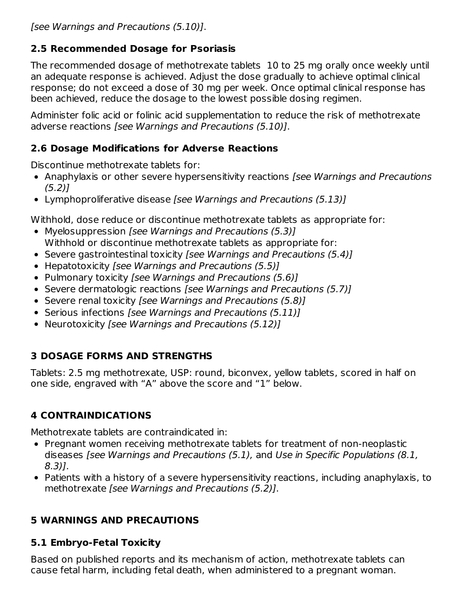[see Warnings and Precautions (5.10)].

# **2.5 Recommended Dosage for Psoriasis**

The recommended dosage of methotrexate tablets 10 to 25 mg orally once weekly until an adequate response is achieved. Adjust the dose gradually to achieve optimal clinical response; do not exceed a dose of 30 mg per week. Once optimal clinical response has been achieved, reduce the dosage to the lowest possible dosing regimen.

Administer folic acid or folinic acid supplementation to reduce the risk of methotrexate adverse reactions [see Warnings and Precautions (5.10)].

### **2.6 Dosage Modifications for Adverse Reactions**

Discontinue methotrexate tablets for:

- Anaphylaxis or other severe hypersensitivity reactions *[see Warnings and Precautions*  $(5.2)$
- Lymphoproliferative disease [see Warnings and Precautions (5.13)]

Withhold, dose reduce or discontinue methotrexate tablets as appropriate for:

- Myelosuppression [see Warnings and Precautions (5.3)] Withhold or discontinue methotrexate tablets as appropriate for:
- Severe gastrointestinal toxicity [see Warnings and Precautions (5.4)]
- Hepatotoxicity [see Warnings and Precautions (5.5)]
- Pulmonary toxicity [see Warnings and Precautions (5.6)]
- Severe dermatologic reactions [see Warnings and Precautions (5.7)]
- Severe renal toxicity [see Warnings and Precautions (5.8)]
- Serious infections [see Warnings and Precautions (5.11)]
- Neurotoxicity [see Warnings and Precautions (5.12)]

# **3 DOSAGE FORMS AND STRENGTHS**

Tablets: 2.5 mg methotrexate, USP: round, biconvex, yellow tablets, scored in half on one side, engraved with "A" above the score and "1" below.

# **4 CONTRAINDICATIONS**

Methotrexate tablets are contraindicated in:

- Pregnant women receiving methotrexate tablets for treatment of non-neoplastic diseases [see Warnings and Precautions (5.1), and Use in Specific Populations (8.1, 8.3)].
- Patients with a history of a severe hypersensitivity reactions, including anaphylaxis, to methotrexate [see Warnings and Precautions (5.2)].

# **5 WARNINGS AND PRECAUTIONS**

# **5.1 Embryo-Fetal Toxicity**

Based on published reports and its mechanism of action, methotrexate tablets can cause fetal harm, including fetal death, when administered to a pregnant woman.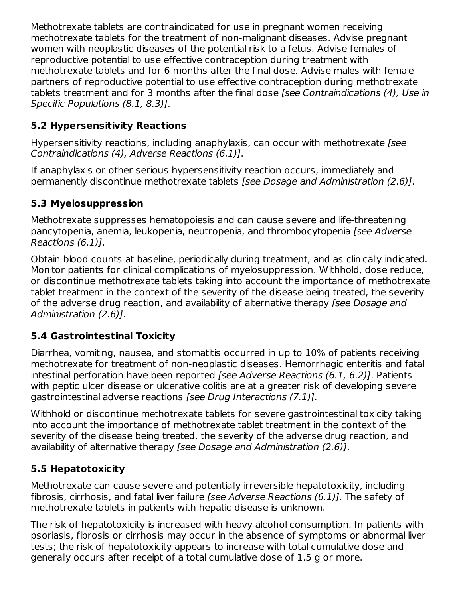Methotrexate tablets are contraindicated for use in pregnant women receiving methotrexate tablets for the treatment of non-malignant diseases. Advise pregnant women with neoplastic diseases of the potential risk to a fetus. Advise females of reproductive potential to use effective contraception during treatment with methotrexate tablets and for 6 months after the final dose. Advise males with female partners of reproductive potential to use effective contraception during methotrexate tablets treatment and for 3 months after the final dose *[see Contraindications (4), Use in* Specific Populations (8.1, 8.3)].

# **5.2 Hypersensitivity Reactions**

Hypersensitivity reactions, including anaphylaxis, can occur with methotrexate [see] Contraindications (4), Adverse Reactions (6.1)].

If anaphylaxis or other serious hypersensitivity reaction occurs, immediately and permanently discontinue methotrexate tablets [see Dosage and Administration (2.6)].

## **5.3 Myelosuppression**

Methotrexate suppresses hematopoiesis and can cause severe and life-threatening pancytopenia, anemia, leukopenia, neutropenia, and thrombocytopenia [see Adverse Reactions (6.1)].

Obtain blood counts at baseline, periodically during treatment, and as clinically indicated. Monitor patients for clinical complications of myelosuppression. Withhold, dose reduce, or discontinue methotrexate tablets taking into account the importance of methotrexate tablet treatment in the context of the severity of the disease being treated, the severity of the adverse drug reaction, and availability of alternative therapy (see Dosage and Administration (2.6)].

# **5.4 Gastrointestinal Toxicity**

Diarrhea, vomiting, nausea, and stomatitis occurred in up to 10% of patients receiving methotrexate for treatment of non-neoplastic diseases. Hemorrhagic enteritis and fatal intestinal perforation have been reported [see Adverse Reactions (6.1, 6.2)]. Patients with peptic ulcer disease or ulcerative colitis are at a greater risk of developing severe gastrointestinal adverse reactions [see Drug Interactions (7.1)].

Withhold or discontinue methotrexate tablets for severe gastrointestinal toxicity taking into account the importance of methotrexate tablet treatment in the context of the severity of the disease being treated, the severity of the adverse drug reaction, and availability of alternative therapy [see Dosage and Administration (2.6)].

# **5.5 Hepatotoxicity**

Methotrexate can cause severe and potentially irreversible hepatotoxicity, including fibrosis, cirrhosis, and fatal liver failure *[see Adverse Reactions (6.1)]*. The safety of methotrexate tablets in patients with hepatic disease is unknown.

The risk of hepatotoxicity is increased with heavy alcohol consumption. In patients with psoriasis, fibrosis or cirrhosis may occur in the absence of symptoms or abnormal liver tests; the risk of hepatotoxicity appears to increase with total cumulative dose and generally occurs after receipt of a total cumulative dose of 1.5 g or more.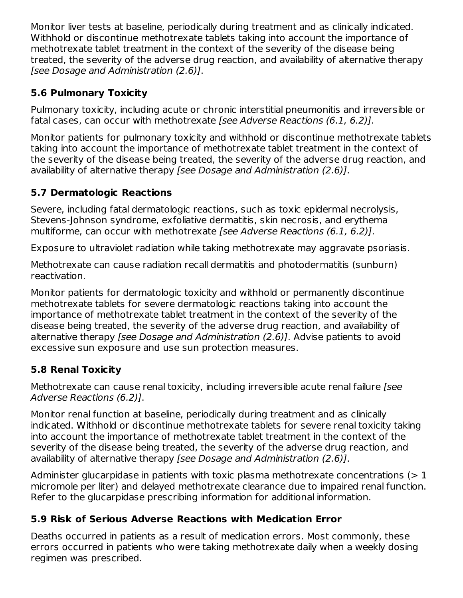Monitor liver tests at baseline, periodically during treatment and as clinically indicated. Withhold or discontinue methotrexate tablets taking into account the importance of methotrexate tablet treatment in the context of the severity of the disease being treated, the severity of the adverse drug reaction, and availability of alternative therapy [see Dosage and Administration (2.6)].

# **5.6 Pulmonary Toxicity**

Pulmonary toxicity, including acute or chronic interstitial pneumonitis and irreversible or fatal cases, can occur with methotrexate [see Adverse Reactions (6.1, 6.2)].

Monitor patients for pulmonary toxicity and withhold or discontinue methotrexate tablets taking into account the importance of methotrexate tablet treatment in the context of the severity of the disease being treated, the severity of the adverse drug reaction, and availability of alternative therapy [see Dosage and Administration (2.6)].

# **5.7 Dermatologic Reactions**

Severe, including fatal dermatologic reactions, such as toxic epidermal necrolysis, Stevens-Johnson syndrome, exfoliative dermatitis, skin necrosis, and erythema multiforme, can occur with methotrexate [see Adverse Reactions (6.1, 6.2)].

Exposure to ultraviolet radiation while taking methotrexate may aggravate psoriasis.

Methotrexate can cause radiation recall dermatitis and photodermatitis (sunburn) reactivation.

Monitor patients for dermatologic toxicity and withhold or permanently discontinue methotrexate tablets for severe dermatologic reactions taking into account the importance of methotrexate tablet treatment in the context of the severity of the disease being treated, the severity of the adverse drug reaction, and availability of alternative therapy [see Dosage and Administration (2.6)]. Advise patients to avoid excessive sun exposure and use sun protection measures.

# **5.8 Renal Toxicity**

Methotrexate can cause renal toxicity, including irreversible acute renal failure [see Adverse Reactions (6.2)].

Monitor renal function at baseline, periodically during treatment and as clinically indicated. Withhold or discontinue methotrexate tablets for severe renal toxicity taking into account the importance of methotrexate tablet treatment in the context of the severity of the disease being treated, the severity of the adverse drug reaction, and availability of alternative therapy [see Dosage and Administration (2.6)].

Administer glucarpidase in patients with toxic plasma methotrexate concentrations  $(>1)$ micromole per liter) and delayed methotrexate clearance due to impaired renal function. Refer to the glucarpidase prescribing information for additional information.

# **5.9 Risk of Serious Adverse Reactions with Medication Error**

Deaths occurred in patients as a result of medication errors. Most commonly, these errors occurred in patients who were taking methotrexate daily when a weekly dosing regimen was prescribed.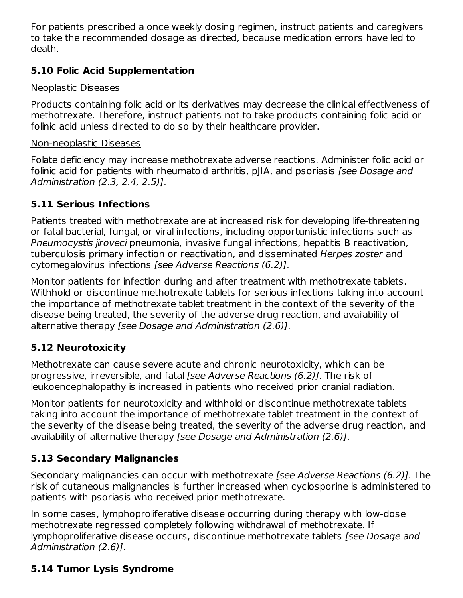For patients prescribed a once weekly dosing regimen, instruct patients and caregivers to take the recommended dosage as directed, because medication errors have led to death.

## **5.10 Folic Acid Supplementation**

#### Neoplastic Diseases

Products containing folic acid or its derivatives may decrease the clinical effectiveness of methotrexate. Therefore, instruct patients not to take products containing folic acid or folinic acid unless directed to do so by their healthcare provider.

#### Non-neoplastic Diseases

Folate deficiency may increase methotrexate adverse reactions. Administer folic acid or folinic acid for patients with rheumatoid arthritis, pJIA, and psoriasis [see Dosage and Administration (2.3, 2.4, 2.5)].

# **5.11 Serious Infections**

Patients treated with methotrexate are at increased risk for developing life-threatening or fatal bacterial, fungal, or viral infections, including opportunistic infections such as Pneumocystis jiroveci pneumonia, invasive fungal infections, hepatitis B reactivation, tuberculosis primary infection or reactivation, and disseminated Herpes zoster and cytomegalovirus infections [see Adverse Reactions (6.2)].

Monitor patients for infection during and after treatment with methotrexate tablets. Withhold or discontinue methotrexate tablets for serious infections taking into account the importance of methotrexate tablet treatment in the context of the severity of the disease being treated, the severity of the adverse drug reaction, and availability of alternative therapy [see Dosage and Administration (2.6)].

# **5.12 Neurotoxicity**

Methotrexate can cause severe acute and chronic neurotoxicity, which can be progressive, irreversible, and fatal [see Adverse Reactions (6.2)]. The risk of leukoencephalopathy is increased in patients who received prior cranial radiation.

Monitor patients for neurotoxicity and withhold or discontinue methotrexate tablets taking into account the importance of methotrexate tablet treatment in the context of the severity of the disease being treated, the severity of the adverse drug reaction, and availability of alternative therapy [see Dosage and Administration (2.6)].

# **5.13 Secondary Malignancies**

Secondary malignancies can occur with methotrexate [see Adverse Reactions (6.2)]. The risk of cutaneous malignancies is further increased when cyclosporine is administered to patients with psoriasis who received prior methotrexate.

In some cases, lymphoproliferative disease occurring during therapy with low-dose methotrexate regressed completely following withdrawal of methotrexate. If lymphoproliferative disease occurs, discontinue methotrexate tablets [see Dosage and Administration (2.6)].

# **5.14 Tumor Lysis Syndrome**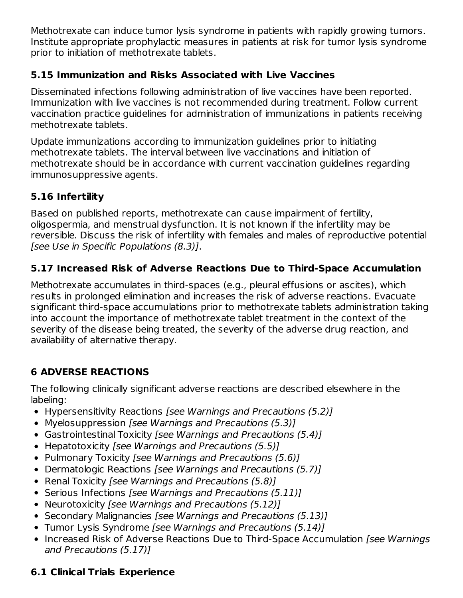Methotrexate can induce tumor lysis syndrome in patients with rapidly growing tumors. Institute appropriate prophylactic measures in patients at risk for tumor lysis syndrome prior to initiation of methotrexate tablets.

# **5.15 Immunization and Risks Associated with Live Vaccines**

Disseminated infections following administration of live vaccines have been reported. Immunization with live vaccines is not recommended during treatment. Follow current vaccination practice guidelines for administration of immunizations in patients receiving methotrexate tablets.

Update immunizations according to immunization guidelines prior to initiating methotrexate tablets. The interval between live vaccinations and initiation of methotrexate should be in accordance with current vaccination guidelines regarding immunosuppressive agents.

# **5.16 Infertility**

Based on published reports, methotrexate can cause impairment of fertility, oligospermia, and menstrual dysfunction. It is not known if the infertility may be reversible. Discuss the risk of infertility with females and males of reproductive potential [see Use in Specific Populations (8.3)].

# **5.17 Increased Risk of Adverse Reactions Due to Third-Space Accumulation**

Methotrexate accumulates in third-spaces (e.g., pleural effusions or ascites), which results in prolonged elimination and increases the risk of adverse reactions. Evacuate significant third-space accumulations prior to methotrexate tablets administration taking into account the importance of methotrexate tablet treatment in the context of the severity of the disease being treated, the severity of the adverse drug reaction, and availability of alternative therapy.

# **6 ADVERSE REACTIONS**

The following clinically significant adverse reactions are described elsewhere in the labeling:

- Hypersensitivity Reactions [see Warnings and Precautions (5.2)]
- Myelosuppression [see Warnings and Precautions (5.3)]
- Gastrointestinal Toxicity [see Warnings and Precautions (5.4)]
- Hepatotoxicity [see Warnings and Precautions (5.5)]
- Pulmonary Toxicity [see Warnings and Precautions (5.6)]
- Dermatologic Reactions [see Warnings and Precautions (5.7)]
- Renal Toxicity [see Warnings and Precautions (5.8)]
- Serious Infections [see Warnings and Precautions (5.11)]
- Neurotoxicity [see Warnings and Precautions (5.12)]
- Secondary Malignancies [see Warnings and Precautions (5.13)]
- Tumor Lysis Syndrome [see Warnings and Precautions (5.14)]
- Increased Risk of Adverse Reactions Due to Third-Space Accumulation [see Warnings] and Precautions (5.17)]

# **6.1 Clinical Trials Experience**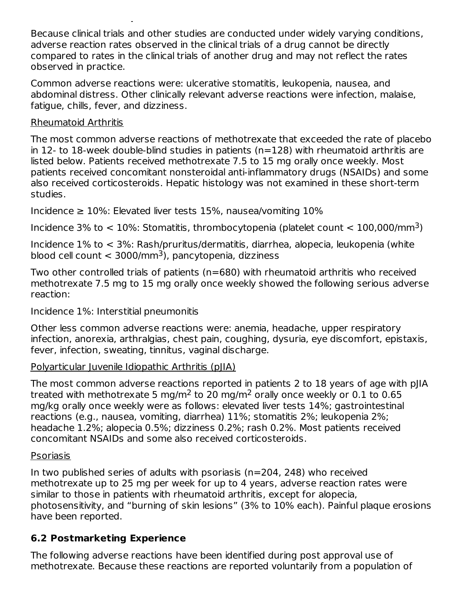Because clinical trials and other studies are conducted under widely varying conditions, adverse reaction rates observed in the clinical trials of a drug cannot be directly compared to rates in the clinical trials of another drug and may not reflect the rates observed in practice.

Common adverse reactions were: ulcerative stomatitis, leukopenia, nausea, and abdominal distress. Other clinically relevant adverse reactions were infection, malaise, fatigue, chills, fever, and dizziness.

#### Rheumatoid Arthritis

**6.1 Clinical Trials Experience**

The most common adverse reactions of methotrexate that exceeded the rate of placebo in 12- to 18-week double-blind studies in patients (n=128) with rheumatoid arthritis are listed below. Patients received methotrexate 7.5 to 15 mg orally once weekly. Most patients received concomitant nonsteroidal anti-inflammatory drugs (NSAIDs) and some also received corticosteroids. Hepatic histology was not examined in these short-term studies.

Incidence  $\geq 10\%$ : Elevated liver tests 15%, nausea/vomiting 10%

Incidence 3% to  $< 10$ %: Stomatitis, thrombocytopenia (platelet count  $< 100,000$ /mm<sup>3</sup>)

Incidence 1% to < 3%: Rash/pruritus/dermatitis, diarrhea, alopecia, leukopenia (white blood cell count  $<$  3000/mm<sup>3</sup>), pancytopenia, dizziness

Two other controlled trials of patients (n=680) with rheumatoid arthritis who received methotrexate 7.5 mg to 15 mg orally once weekly showed the following serious adverse reaction:

Incidence 1%: Interstitial pneumonitis

Other less common adverse reactions were: anemia, headache, upper respiratory infection, anorexia, arthralgias, chest pain, coughing, dysuria, eye discomfort, epistaxis, fever, infection, sweating, tinnitus, vaginal discharge.

#### Polyarticular Juvenile Idiopathic Arthritis (pJIA)

The most common adverse reactions reported in patients 2 to 18 years of age with pJIA treated with methotrexate 5 mg/m<sup>2</sup> to 20 mg/m<sup>2</sup> orally once weekly or 0.1 to 0.65 mg/kg orally once weekly were as follows: elevated liver tests 14%; gastrointestinal reactions (e.g., nausea, vomiting, diarrhea) 11%; stomatitis 2%; leukopenia 2%; headache 1.2%; alopecia 0.5%; dizziness 0.2%; rash 0.2%. Most patients received concomitant NSAIDs and some also received corticosteroids.

#### Psoriasis

In two published series of adults with psoriasis (n=204, 248) who received methotrexate up to 25 mg per week for up to 4 years, adverse reaction rates were similar to those in patients with rheumatoid arthritis, except for alopecia, photosensitivity, and "burning of skin lesions" (3% to 10% each). Painful plaque erosions have been reported.

# **6.2 Postmarketing Experience**

The following adverse reactions have been identified during post approval use of methotrexate. Because these reactions are reported voluntarily from a population of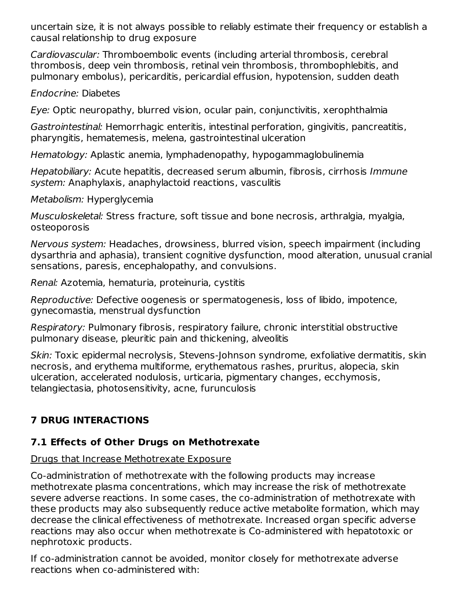uncertain size, it is not always possible to reliably estimate their frequency or establish a causal relationship to drug exposure

Cardiovascular: Thromboembolic events (including arterial thrombosis, cerebral thrombosis, deep vein thrombosis, retinal vein thrombosis, thrombophlebitis, and pulmonary embolus), pericarditis, pericardial effusion, hypotension, sudden death

Endocrine: Diabetes

Eye: Optic neuropathy, blurred vision, ocular pain, conjunctivitis, xerophthalmia

Gastrointestinal: Hemorrhagic enteritis, intestinal perforation, gingivitis, pancreatitis, pharyngitis, hematemesis, melena, gastrointestinal ulceration

Hematology: Aplastic anemia, lymphadenopathy, hypogammaglobulinemia

Hepatobiliary: Acute hepatitis, decreased serum albumin, fibrosis, cirrhosis Immune system: Anaphylaxis, anaphylactoid reactions, vasculitis

Metabolism: Hyperglycemia

Musculoskeletal: Stress fracture, soft tissue and bone necrosis, arthralgia, myalgia, osteoporosis

Nervous system: Headaches, drowsiness, blurred vision, speech impairment (including dysarthria and aphasia), transient cognitive dysfunction, mood alteration, unusual cranial sensations, paresis, encephalopathy, and convulsions.

Renal: Azotemia, hematuria, proteinuria, cystitis

Reproductive: Defective oogenesis or spermatogenesis, loss of libido, impotence, gynecomastia, menstrual dysfunction

Respiratory: Pulmonary fibrosis, respiratory failure, chronic interstitial obstructive pulmonary disease, pleuritic pain and thickening, alveolitis

Skin: Toxic epidermal necrolysis, Stevens-Johnson syndrome, exfoliative dermatitis, skin necrosis, and erythema multiforme, erythematous rashes, pruritus, alopecia, skin ulceration, accelerated nodulosis, urticaria, pigmentary changes, ecchymosis, telangiectasia, photosensitivity, acne, furunculosis

# **7 DRUG INTERACTIONS**

# **7.1 Effects of Other Drugs on Methotrexate**

# Drugs that Increase Methotrexate Exposure

Co-administration of methotrexate with the following products may increase methotrexate plasma concentrations, which may increase the risk of methotrexate severe adverse reactions. In some cases, the co-administration of methotrexate with these products may also subsequently reduce active metabolite formation, which may decrease the clinical effectiveness of methotrexate. Increased organ specific adverse reactions may also occur when methotrexate is Co-administered with hepatotoxic or nephrotoxic products.

If co-administration cannot be avoided, monitor closely for methotrexate adverse reactions when co-administered with: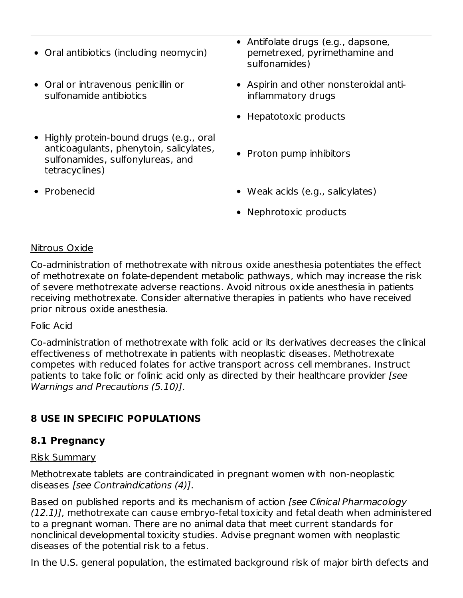- Oral antibiotics (including neomycin)
- Oral or intravenous penicillin or sulfonamide antibiotics
- Highly protein-bound drugs (e.g., oral anticoagulants, phenytoin, salicylates, sulfonamides, sulfonylureas, and tetracyclines)
- 
- Antifolate drugs (e.g., dapsone, pemetrexed, pyrimethamine and sulfonamides)
- Aspirin and other nonsteroidal antiinflammatory drugs
- Hepatotoxic products
- Proton pump inhibitors
- Probenecid Weak acids (e.g., salicylates)
	- Nephrotoxic products

#### Nitrous Oxide

Co-administration of methotrexate with nitrous oxide anesthesia potentiates the effect of methotrexate on folate-dependent metabolic pathways, which may increase the risk of severe methotrexate adverse reactions. Avoid nitrous oxide anesthesia in patients receiving methotrexate. Consider alternative therapies in patients who have received prior nitrous oxide anesthesia.

#### Folic Acid

Co-administration of methotrexate with folic acid or its derivatives decreases the clinical effectiveness of methotrexate in patients with neoplastic diseases. Methotrexate competes with reduced folates for active transport across cell membranes. Instruct patients to take folic or folinic acid only as directed by their healthcare provider [see Warnings and Precautions (5.10)].

#### **8 USE IN SPECIFIC POPULATIONS**

#### **8.1 Pregnancy**

#### Risk Summary

Methotrexate tablets are contraindicated in pregnant women with non-neoplastic diseases [see Contraindications (4)].

Based on published reports and its mechanism of action [see Clinical Pharmacology (12.1)], methotrexate can cause embryo-fetal toxicity and fetal death when administered to a pregnant woman. There are no animal data that meet current standards for nonclinical developmental toxicity studies. Advise pregnant women with neoplastic diseases of the potential risk to a fetus.

In the U.S. general population, the estimated background risk of major birth defects and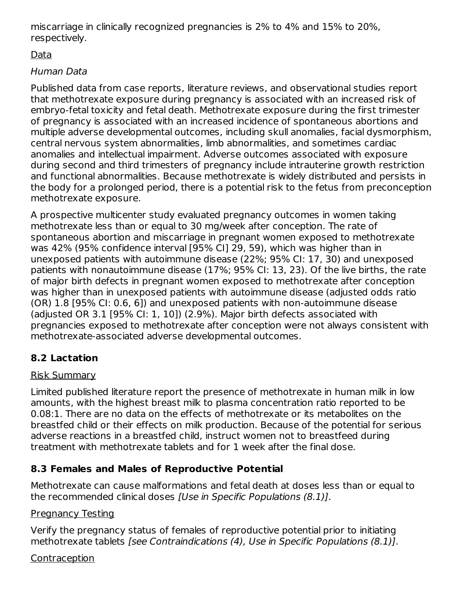miscarriage in clinically recognized pregnancies is 2% to 4% and 15% to 20%, respectively.

# Data

# Human Data

Published data from case reports, literature reviews, and observational studies report that methotrexate exposure during pregnancy is associated with an increased risk of embryo-fetal toxicity and fetal death. Methotrexate exposure during the first trimester of pregnancy is associated with an increased incidence of spontaneous abortions and multiple adverse developmental outcomes, including skull anomalies, facial dysmorphism, central nervous system abnormalities, limb abnormalities, and sometimes cardiac anomalies and intellectual impairment. Adverse outcomes associated with exposure during second and third trimesters of pregnancy include intrauterine growth restriction and functional abnormalities. Because methotrexate is widely distributed and persists in the body for a prolonged period, there is a potential risk to the fetus from preconception methotrexate exposure.

A prospective multicenter study evaluated pregnancy outcomes in women taking methotrexate less than or equal to 30 mg/week after conception. The rate of spontaneous abortion and miscarriage in pregnant women exposed to methotrexate was 42% (95% confidence interval [95% CI] 29, 59), which was higher than in unexposed patients with autoimmune disease (22%; 95% CI: 17, 30) and unexposed patients with nonautoimmune disease (17%; 95% CI: 13, 23). Of the live births, the rate of major birth defects in pregnant women exposed to methotrexate after conception was higher than in unexposed patients with autoimmune disease (adjusted odds ratio (OR) 1.8 [95% CI: 0.6, 6]) and unexposed patients with non-autoimmune disease (adjusted OR 3.1 [95% CI: 1, 10]) (2.9%). Major birth defects associated with pregnancies exposed to methotrexate after conception were not always consistent with methotrexate-associated adverse developmental outcomes.

# **8.2 Lactation**

# Risk Summary

Limited published literature report the presence of methotrexate in human milk in low amounts, with the highest breast milk to plasma concentration ratio reported to be 0.08:1. There are no data on the effects of methotrexate or its metabolites on the breastfed child or their effects on milk production. Because of the potential for serious adverse reactions in a breastfed child, instruct women not to breastfeed during treatment with methotrexate tablets and for 1 week after the final dose.

# **8.3 Females and Males of Reproductive Potential**

Methotrexate can cause malformations and fetal death at doses less than or equal to the recommended clinical doses [Use in Specific Populations (8.1)].

# Pregnancy Testing

Verify the pregnancy status of females of reproductive potential prior to initiating methotrexate tablets [see Contraindications (4), Use in Specific Populations (8.1)].

# Contraception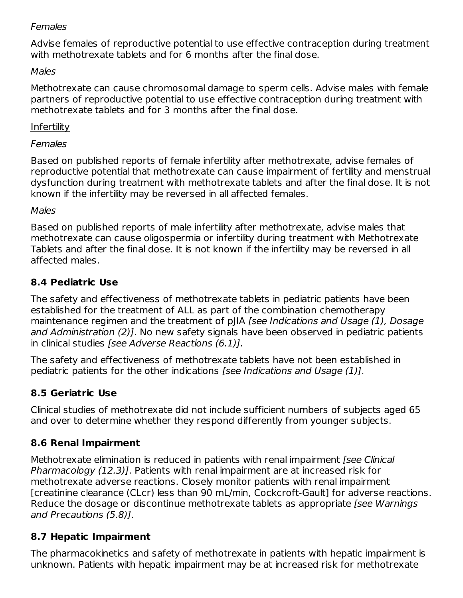#### **Females**

Advise females of reproductive potential to use effective contraception during treatment with methotrexate tablets and for 6 months after the final dose.

#### Males

Methotrexate can cause chromosomal damage to sperm cells. Advise males with female partners of reproductive potential to use effective contraception during treatment with methotrexate tablets and for 3 months after the final dose.

#### Infertility

#### **Females**

Based on published reports of female infertility after methotrexate, advise females of reproductive potential that methotrexate can cause impairment of fertility and menstrual dysfunction during treatment with methotrexate tablets and after the final dose. It is not known if the infertility may be reversed in all affected females.

#### Males

Based on published reports of male infertility after methotrexate, advise males that methotrexate can cause oligospermia or infertility during treatment with Methotrexate Tablets and after the final dose. It is not known if the infertility may be reversed in all affected males.

## **8.4 Pediatric Use**

The safety and effectiveness of methotrexate tablets in pediatric patients have been established for the treatment of ALL as part of the combination chemotherapy maintenance regimen and the treatment of pJIA [see Indications and Usage (1), Dosage and Administration (2)]. No new safety signals have been observed in pediatric patients in clinical studies [see Adverse Reactions (6.1)].

The safety and effectiveness of methotrexate tablets have not been established in pediatric patients for the other indications [see Indications and Usage (1)].

# **8.5 Geriatric Use**

Clinical studies of methotrexate did not include sufficient numbers of subjects aged 65 and over to determine whether they respond differently from younger subjects.

# **8.6 Renal Impairment**

Methotrexate elimination is reduced in patients with renal impairment [see Clinical Pharmacology (12.3)]. Patients with renal impairment are at increased risk for methotrexate adverse reactions. Closely monitor patients with renal impairment [creatinine clearance (CLcr) less than 90 mL/min, Cockcroft-Gault] for adverse reactions. Reduce the dosage or discontinue methotrexate tablets as appropriate [see Warnings] and Precautions (5.8)].

#### **8.7 Hepatic Impairment**

The pharmacokinetics and safety of methotrexate in patients with hepatic impairment is unknown. Patients with hepatic impairment may be at increased risk for methotrexate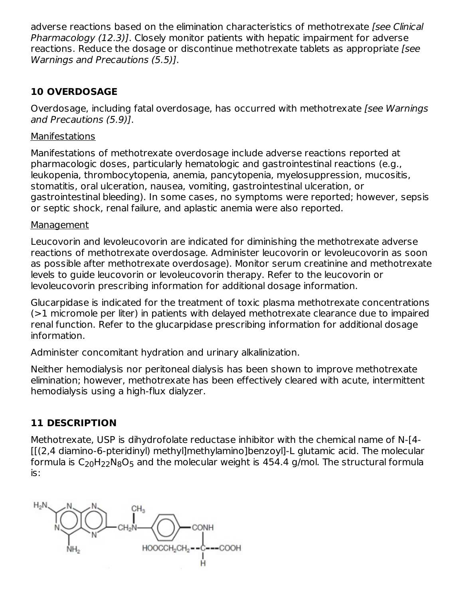adverse reactions based on the elimination characteristics of methotrexate *[see Clinical*] Pharmacology (12.3)]. Closely monitor patients with hepatic impairment for adverse reactions. Reduce the dosage or discontinue methotrexate tablets as appropriate [see Warnings and Precautions (5.5)].

#### **10 OVERDOSAGE**

Overdosage, including fatal overdosage, has occurred with methotrexate [see Warnings] and Precautions (5.9)].

#### **Manifestations**

Manifestations of methotrexate overdosage include adverse reactions reported at pharmacologic doses, particularly hematologic and gastrointestinal reactions (e.g., leukopenia, thrombocytopenia, anemia, pancytopenia, myelosuppression, mucositis, stomatitis, oral ulceration, nausea, vomiting, gastrointestinal ulceration, or gastrointestinal bleeding). In some cases, no symptoms were reported; however, sepsis or septic shock, renal failure, and aplastic anemia were also reported.

#### Management

Leucovorin and levoleucovorin are indicated for diminishing the methotrexate adverse reactions of methotrexate overdosage. Administer leucovorin or levoleucovorin as soon as possible after methotrexate overdosage). Monitor serum creatinine and methotrexate levels to guide leucovorin or levoleucovorin therapy. Refer to the leucovorin or levoleucovorin prescribing information for additional dosage information.

Glucarpidase is indicated for the treatment of toxic plasma methotrexate concentrations (>1 micromole per liter) in patients with delayed methotrexate clearance due to impaired renal function. Refer to the glucarpidase prescribing information for additional dosage information.

Administer concomitant hydration and urinary alkalinization.

Neither hemodialysis nor peritoneal dialysis has been shown to improve methotrexate elimination; however, methotrexate has been effectively cleared with acute, intermittent hemodialysis using a high-flux dialyzer.

#### **11 DESCRIPTION**

Methotrexate, USP is dihydrofolate reductase inhibitor with the chemical name of N-[4- [[(2,4 diamino-6-pteridinyl) methyl]methylamino]benzoyl]-L glutamic acid. The molecular formula is  $\mathsf{C}_{20}\mathsf{H}_{22}\mathsf{N}_{8}\mathsf{O}_{5}$  and the molecular weight is 454.4 g/mol. The structural formula is:

 $CH<sub>3</sub>$ CONH COOH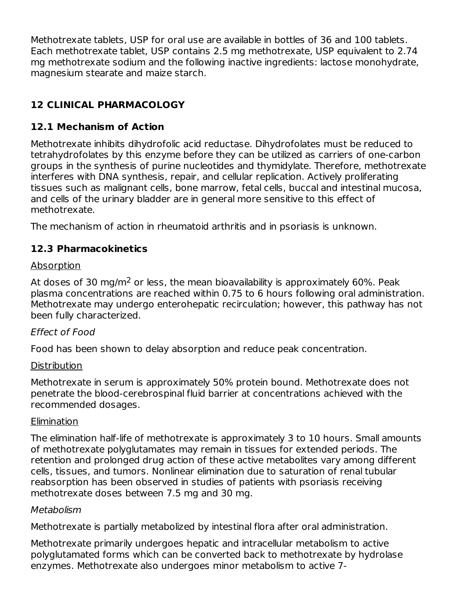Methotrexate tablets, USP for oral use are available in bottles of 36 and 100 tablets. Each methotrexate tablet, USP contains 2.5 mg methotrexate, USP equivalent to 2.74 mg methotrexate sodium and the following inactive ingredients: lactose monohydrate, magnesium stearate and maize starch.

# **12 CLINICAL PHARMACOLOGY**

# **12.1 Mechanism of Action**

Methotrexate inhibits dihydrofolic acid reductase. Dihydrofolates must be reduced to tetrahydrofolates by this enzyme before they can be utilized as carriers of one-carbon groups in the synthesis of purine nucleotides and thymidylate. Therefore, methotrexate interferes with DNA synthesis, repair, and cellular replication. Actively proliferating tissues such as malignant cells, bone marrow, fetal cells, buccal and intestinal mucosa, and cells of the urinary bladder are in general more sensitive to this effect of methotrexate.

The mechanism of action in rheumatoid arthritis and in psoriasis is unknown.

#### **12.3 Pharmacokinetics**

#### Absorption

At doses of 30 mg/m<sup>2</sup> or less, the mean bioavailability is approximately 60%. Peak plasma concentrations are reached within 0.75 to 6 hours following oral administration. Methotrexate may undergo enterohepatic recirculation; however, this pathway has not been fully characterized.

#### Effect of Food

Food has been shown to delay absorption and reduce peak concentration.

#### **Distribution**

Methotrexate in serum is approximately 50% protein bound. Methotrexate does not penetrate the blood-cerebrospinal fluid barrier at concentrations achieved with the recommended dosages.

#### Elimination

The elimination half-life of methotrexate is approximately 3 to 10 hours. Small amounts of methotrexate polyglutamates may remain in tissues for extended periods. The retention and prolonged drug action of these active metabolites vary among different cells, tissues, and tumors. Nonlinear elimination due to saturation of renal tubular reabsorption has been observed in studies of patients with psoriasis receiving methotrexate doses between 7.5 mg and 30 mg.

#### Metabolism

Methotrexate is partially metabolized by intestinal flora after oral administration.

Methotrexate primarily undergoes hepatic and intracellular metabolism to active polyglutamated forms which can be converted back to methotrexate by hydrolase enzymes. Methotrexate also undergoes minor metabolism to active 7-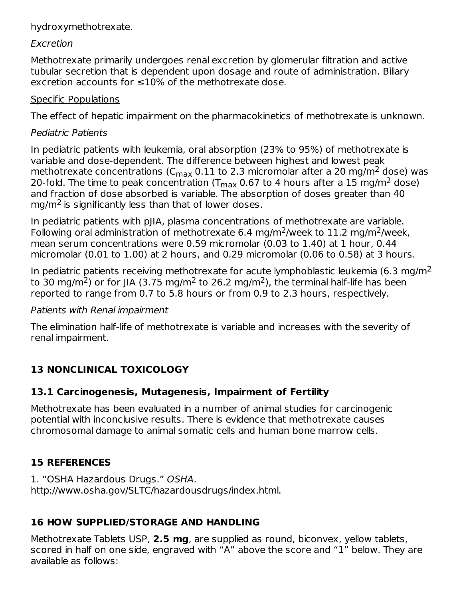#### hydroxymethotrexate.

#### Excretion

Methotrexate primarily undergoes renal excretion by glomerular filtration and active tubular secretion that is dependent upon dosage and route of administration. Biliary excretion accounts for ≤10% of the methotrexate dose.

#### Specific Populations

The effect of hepatic impairment on the pharmacokinetics of methotrexate is unknown.

# Pediatric Patients

In pediatric patients with leukemia, oral absorption (23% to 95%) of methotrexate is variable and dose-dependent. The difference between highest and lowest peak methotrexate concentrations (C $_{\rm max}$  0.11 to 2.3 micromolar after a 20 mg/m<sup>2</sup> dose) was 20-fold. The time to peak concentration (T $_{\sf max}$  0.67 to 4 hours after a 15 mg/m<sup>2</sup> dose) and fraction of dose absorbed is variable. The absorption of doses greater than 40 mg/m<sup>2</sup> is significantly less than that of lower doses.

In pediatric patients with pJIA, plasma concentrations of methotrexate are variable. Following oral administration of methotrexate 6.4 mg/m<sup>2</sup>/week to 11.2 mg/m<sup>2</sup>/week, mean serum concentrations were 0.59 micromolar (0.03 to 1.40) at 1 hour, 0.44 micromolar (0.01 to 1.00) at 2 hours, and 0.29 micromolar (0.06 to 0.58) at 3 hours.

In pediatric patients receiving methotrexate for acute lymphoblastic leukemia (6.3 mg/m<sup>2</sup> to 30 mg/m<sup>2</sup>) or for JIA (3.75 mg/m<sup>2</sup> to 26.2 mg/m<sup>2</sup>), the terminal half-life has been reported to range from 0.7 to 5.8 hours or from 0.9 to 2.3 hours, respectively.

#### Patients with Renal impairment

The elimination half-life of methotrexate is variable and increases with the severity of renal impairment.

# **13 NONCLINICAL TOXICOLOGY**

# **13.1 Carcinogenesis, Mutagenesis, Impairment of Fertility**

Methotrexate has been evaluated in a number of animal studies for carcinogenic potential with inconclusive results. There is evidence that methotrexate causes chromosomal damage to animal somatic cells and human bone marrow cells.

# **15 REFERENCES**

1. "OSHA Hazardous Drugs." OSHA. http://www.osha.gov/SLTC/hazardousdrugs/index.html.

# **16 HOW SUPPLIED/STORAGE AND HANDLING**

Methotrexate Tablets USP, **2.5 mg**, are supplied as round, biconvex, yellow tablets, scored in half on one side, engraved with "A" above the score and "1" below. They are available as follows: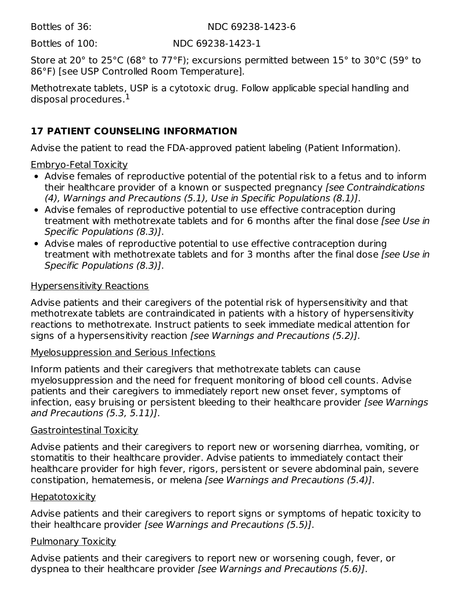Bottles of 36: NDC 69238-1423-6

Bottles of 100: NDC 69238-1423-1

Store at 20° to 25°C (68° to 77°F); excursions permitted between 15° to 30°C (59° to 86°F) [see USP Controlled Room Temperature].

Methotrexate tablets, USP is a cytotoxic drug. Follow applicable special handling and disposal procedures. $^{\rm 1}$ 

# **17 PATIENT COUNSELING INFORMATION**

Advise the patient to read the FDA-approved patient labeling (Patient Information).

Embryo-Fetal Toxicity

- Advise females of reproductive potential of the potential risk to a fetus and to inform their healthcare provider of a known or suspected pregnancy [see Contraindications (4), Warnings and Precautions (5.1), Use in Specific Populations (8.1)].
- Advise females of reproductive potential to use effective contraception during treatment with methotrexate tablets and for 6 months after the final dose *[see Use in*] Specific Populations (8.3)].
- Advise males of reproductive potential to use effective contraception during treatment with methotrexate tablets and for 3 months after the final dose [see Use in Specific Populations (8.3)].

#### Hypersensitivity Reactions

Advise patients and their caregivers of the potential risk of hypersensitivity and that methotrexate tablets are contraindicated in patients with a history of hypersensitivity reactions to methotrexate. Instruct patients to seek immediate medical attention for signs of a hypersensitivity reaction [see Warnings and Precautions (5.2)].

#### Myelosuppression and Serious Infections

Inform patients and their caregivers that methotrexate tablets can cause myelosuppression and the need for frequent monitoring of blood cell counts. Advise patients and their caregivers to immediately report new onset fever, symptoms of infection, easy bruising or persistent bleeding to their healthcare provider [see Warnings and Precautions (5.3, 5.11)].

#### Gastrointestinal Toxicity

Advise patients and their caregivers to report new or worsening diarrhea, vomiting, or stomatitis to their healthcare provider. Advise patients to immediately contact their healthcare provider for high fever, rigors, persistent or severe abdominal pain, severe constipation, hematemesis, or melena [see Warnings and Precautions (5.4)].

#### **Hepatotoxicity**

Advise patients and their caregivers to report signs or symptoms of hepatic toxicity to their healthcare provider [see Warnings and Precautions (5.5)].

#### Pulmonary Toxicity

Advise patients and their caregivers to report new or worsening cough, fever, or dyspnea to their healthcare provider [see Warnings and Precautions (5.6)].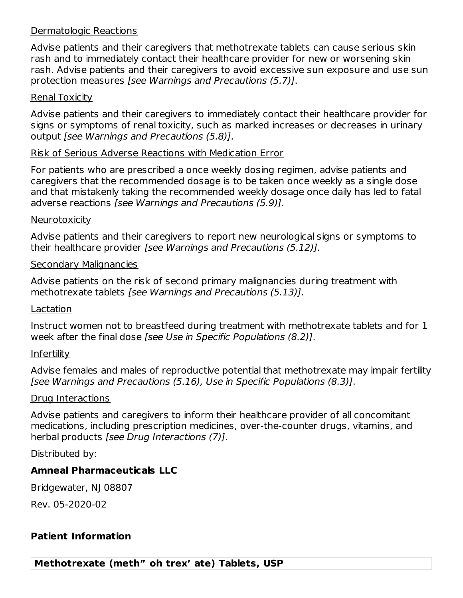#### Dermatologic Reactions

Advise patients and their caregivers that methotrexate tablets can cause serious skin rash and to immediately contact their healthcare provider for new or worsening skin rash. Advise patients and their caregivers to avoid excessive sun exposure and use sun protection measures [see Warnings and Precautions (5.7)].

#### Renal Toxicity

Advise patients and their caregivers to immediately contact their healthcare provider for signs or symptoms of renal toxicity, such as marked increases or decreases in urinary output [see Warnings and Precautions (5.8)].

#### Risk of Serious Adverse Reactions with Medication Error

For patients who are prescribed a once weekly dosing regimen, advise patients and caregivers that the recommended dosage is to be taken once weekly as a single dose and that mistakenly taking the recommended weekly dosage once daily has led to fatal adverse reactions [see Warnings and Precautions (5.9)].

#### **Neurotoxicity**

Advise patients and their caregivers to report new neurological signs or symptoms to their healthcare provider [see Warnings and Precautions (5.12)].

#### Secondary Malignancies

Advise patients on the risk of second primary malignancies during treatment with methotrexate tablets [see Warnings and Precautions (5.13)].

#### Lactation

Instruct women not to breastfeed during treatment with methotrexate tablets and for 1 week after the final dose [see Use in Specific Populations (8.2)].

#### **Infertility**

Advise females and males of reproductive potential that methotrexate may impair fertility [see Warnings and Precautions (5.16), Use in Specific Populations (8.3)].

#### Drug Interactions

Advise patients and caregivers to inform their healthcare provider of all concomitant medications, including prescription medicines, over-the-counter drugs, vitamins, and herbal products [see Drug Interactions (7)].

Distributed by:

#### **Amneal Pharmaceuticals LLC**

Bridgewater, NJ 08807

Rev. 05-2020-02

#### **Patient Information**

**Methotrexate (meth" oh trex' ate) Tablets, USP**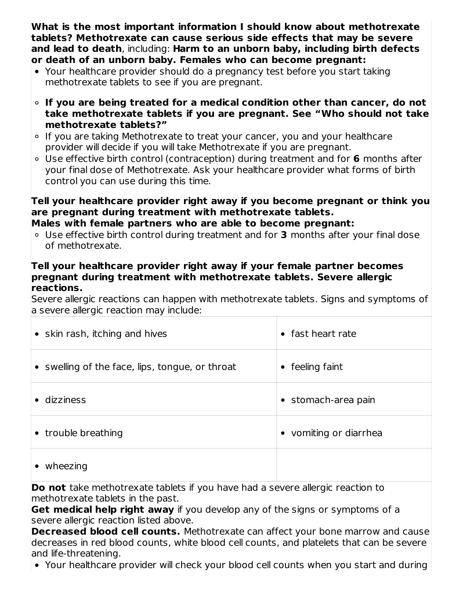**What is the most important information I should know about methotrexate tablets? Methotrexate can cause serious side effects that may be severe and lead to death**, including: **Harm to an unborn baby, including birth defects or death of an unborn baby. Females who can become pregnant:**

- Your healthcare provider should do a pregnancy test before you start taking methotrexate tablets to see if you are pregnant.
- **If you are being treated for a medical condition other than cancer, do not take methotrexate tablets if you are pregnant. See "Who should not take methotrexate tablets?"**
- If you are taking Methotrexate to treat your cancer, you and your healthcare provider will decide if you will take Methotrexate if you are pregnant.
- Use effective birth control (contraception) during treatment and for **6** months after your final dose of Methotrexate. Ask your healthcare provider what forms of birth control you can use during this time.

# **Tell your healthcare provider right away if you become pregnant or think you are pregnant during treatment with methotrexate tablets.**

- **Males with female partners who are able to become pregnant:**
- Use effective birth control during treatment and for **3** months after your final dose of methotrexate.

#### **Tell your healthcare provider right away if your female partner becomes pregnant during treatment with methotrexate tablets. Severe allergic reactions.**

Severe allergic reactions can happen with methotrexate tablets. Signs and symptoms of a severe allergic reaction may include:

| • skin rash, itching and hives                  | fast heart rate            |
|-------------------------------------------------|----------------------------|
| • swelling of the face, lips, tongue, or throat | feeling faint<br>$\bullet$ |
| dizziness                                       | • stomach-area pain        |
| • trouble breathing                             | vomiting or diarrhea       |
| wheezing                                        |                            |

**Do not** take methotrexate tablets if you have had a severe allergic reaction to methotrexate tablets in the past.

**Get medical help right away** if you develop any of the signs or symptoms of a severe allergic reaction listed above.

**Decreased blood cell counts.** Methotrexate can affect your bone marrow and cause decreases in red blood counts, white blood cell counts, and platelets that can be severe and life-threatening.

Your healthcare provider will check your blood cell counts when you start and during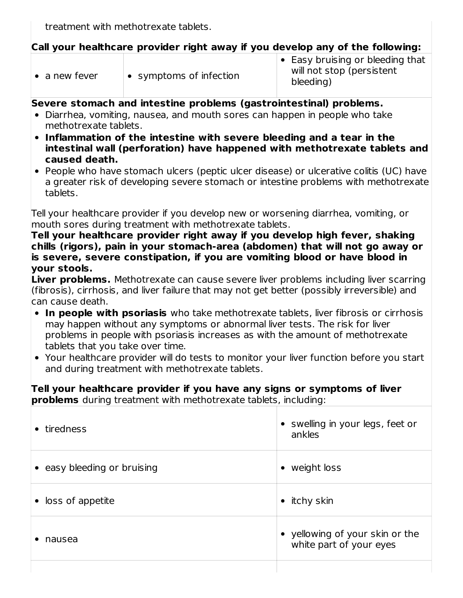treatment with methotrexate tablets.

### **Call your healthcare provider right away if you develop any of the following:**

| $\bullet$ a new fever | $\bullet$ symptoms of infection | $\bullet$ Easy bruising or bleeding that<br>will not stop (persistent<br>bleeding) |
|-----------------------|---------------------------------|------------------------------------------------------------------------------------|
|-----------------------|---------------------------------|------------------------------------------------------------------------------------|

#### **Severe stomach and intestine problems (gastrointestinal) problems.**

- Diarrhea, vomiting, nausea, and mouth sores can happen in people who take methotrexate tablets.
- **Inflammation of the intestine with severe bleeding and a tear in the intestinal wall (perforation) have happened with methotrexate tablets and caused death.**
- People who have stomach ulcers (peptic ulcer disease) or ulcerative colitis (UC) have a greater risk of developing severe stomach or intestine problems with methotrexate tablets.

Tell your healthcare provider if you develop new or worsening diarrhea, vomiting, or mouth sores during treatment with methotrexate tablets.

**Tell your healthcare provider right away if you develop high fever, shaking chills (rigors), pain in your stomach-area (abdomen) that will not go away or is severe, severe constipation, if you are vomiting blood or have blood in your stools.**

**Liver problems.** Methotrexate can cause severe liver problems including liver scarring (fibrosis), cirrhosis, and liver failure that may not get better (possibly irreversible) and can cause death.

- **In people with psoriasis** who take methotrexate tablets, liver fibrosis or cirrhosis may happen without any symptoms or abnormal liver tests. The risk for liver problems in people with psoriasis increases as with the amount of methotrexate tablets that you take over time.
- Your healthcare provider will do tests to monitor your liver function before you start and during treatment with methotrexate tablets.

#### **Tell your healthcare provider if you have any signs or symptoms of liver problems** during treatment with methotrexate tablets, including:

| tiredness                   | swelling in your legs, feet or<br>ankles                 |
|-----------------------------|----------------------------------------------------------|
| • easy bleeding or bruising | weight loss                                              |
| • loss of appetite          | itchy skin                                               |
| nausea                      | yellowing of your skin or the<br>white part of your eyes |
|                             |                                                          |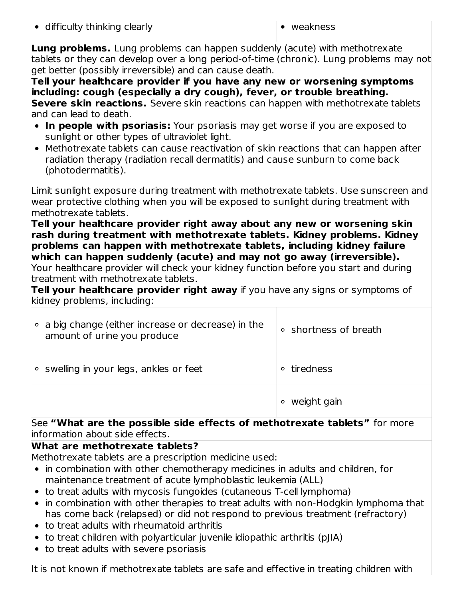**Lung problems.** Lung problems can happen suddenly (acute) with methotrexate tablets or they can develop over a long period-of-time (chronic). Lung problems may not get better (possibly irreversible) and can cause death.

**Tell your healthcare provider if you have any new or worsening symptoms including: cough (especially a dry cough), fever, or trouble breathing. Severe skin reactions.** Severe skin reactions can happen with methotrexate tablets and can lead to death.

- **In people with psoriasis:** Your psoriasis may get worse if you are exposed to sunlight or other types of ultraviolet light.
- Methotrexate tablets can cause reactivation of skin reactions that can happen after radiation therapy (radiation recall dermatitis) and cause sunburn to come back (photodermatitis).

Limit sunlight exposure during treatment with methotrexate tablets. Use sunscreen and wear protective clothing when you will be exposed to sunlight during treatment with methotrexate tablets.

**Tell your healthcare provider right away about any new or worsening skin rash during treatment with methotrexate tablets. Kidney problems. Kidney problems can happen with methotrexate tablets, including kidney failure which can happen suddenly (acute) and may not go away (irreversible).**

Your healthcare provider will check your kidney function before you start and during treatment with methotrexate tablets.

**Tell your healthcare provider right away** if you have any signs or symptoms of kidney problems, including:

| a big change (either increase or decrease) in the<br>$\circ$<br>amount of urine you produce | ○ shortness of breath |
|---------------------------------------------------------------------------------------------|-----------------------|
| • swelling in your legs, ankles or feet                                                     | tiredness<br>$\circ$  |
|                                                                                             | weight gain           |

See **"What are the possible side effects of methotrexate tablets"** for more information about side effects.

# **What are methotrexate tablets?**

Methotrexate tablets are a prescription medicine used:

- in combination with other chemotherapy medicines in adults and children, for maintenance treatment of acute lymphoblastic leukemia (ALL)
- to treat adults with mycosis fungoides (cutaneous T-cell lymphoma)
- in combination with other therapies to treat adults with non-Hodgkin lymphoma that has come back (relapsed) or did not respond to previous treatment (refractory)
- to treat adults with rheumatoid arthritis
- to treat children with polyarticular juvenile idiopathic arthritis (pJIA)
- to treat adults with severe psoriasis

It is not known if methotrexate tablets are safe and effective in treating children with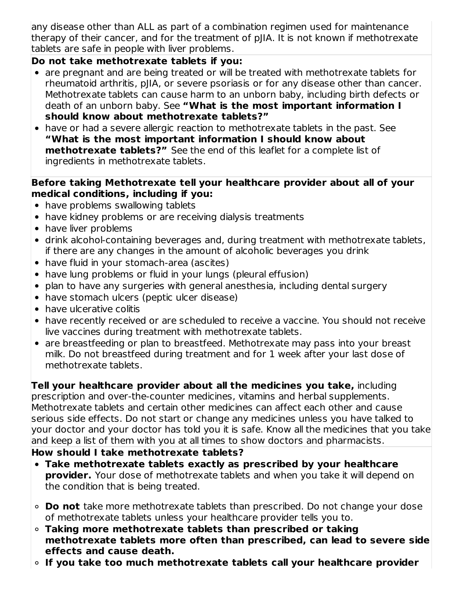any disease other than ALL as part of a combination regimen used for maintenance therapy of their cancer, and for the treatment of pJIA. It is not known if methotrexate tablets are safe in people with liver problems.

# **Do not take methotrexate tablets if you:**

- are pregnant and are being treated or will be treated with methotrexate tablets for rheumatoid arthritis, pJIA, or severe psoriasis or for any disease other than cancer. Methotrexate tablets can cause harm to an unborn baby, including birth defects or death of an unborn baby. See **"What is the most important information I should know about methotrexate tablets?"**
- have or had a severe allergic reaction to methotrexate tablets in the past. See **"What is the most important information I should know about methotrexate tablets?"** See the end of this leaflet for a complete list of ingredients in methotrexate tablets.

#### **Before taking Methotrexate tell your healthcare provider about all of your medical conditions, including if you:**

- have problems swallowing tablets
- have kidney problems or are receiving dialysis treatments
- have liver problems
- drink alcohol-containing beverages and, during treatment with methotrexate tablets, if there are any changes in the amount of alcoholic beverages you drink
- have fluid in your stomach-area (ascites)
- have lung problems or fluid in your lungs (pleural effusion)
- plan to have any surgeries with general anesthesia, including dental surgery
- have stomach ulcers (peptic ulcer disease)
- have ulcerative colitis
- have recently received or are scheduled to receive a vaccine. You should not receive live vaccines during treatment with methotrexate tablets.
- are breastfeeding or plan to breastfeed. Methotrexate may pass into your breast milk. Do not breastfeed during treatment and for 1 week after your last dose of methotrexate tablets.

**Tell your healthcare provider about all the medicines you take,** including prescription and over-the-counter medicines, vitamins and herbal supplements. Methotrexate tablets and certain other medicines can affect each other and cause serious side effects. Do not start or change any medicines unless you have talked to your doctor and your doctor has told you it is safe. Know all the medicines that you take and keep a list of them with you at all times to show doctors and pharmacists.

# **How should I take methotrexate tablets?**

- **Take methotrexate tablets exactly as prescribed by your healthcare provider.** Your dose of methotrexate tablets and when you take it will depend on the condition that is being treated.
- **Do not** take more methotrexate tablets than prescribed. Do not change your dose of methotrexate tablets unless your healthcare provider tells you to.
- **Taking more methotrexate tablets than prescribed or taking methotrexate tablets more often than prescribed, can lead to severe side effects and cause death.**
- **If you take too much methotrexate tablets call your healthcare provider**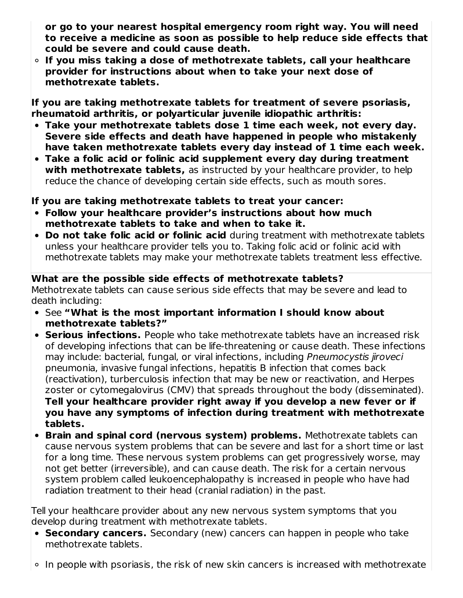**or go to your nearest hospital emergency room right way. You will need to receive a medicine as soon as possible to help reduce side effects that could be severe and could cause death.**

**If you miss taking a dose of methotrexate tablets, call your healthcare provider for instructions about when to take your next dose of methotrexate tablets.**

**If you are taking methotrexate tablets for treatment of severe psoriasis, rheumatoid arthritis, or polyarticular juvenile idiopathic arthritis:**

- **Take your methotrexate tablets dose 1 time each week, not every day. Severe side effects and death have happened in people who mistakenly have taken methotrexate tablets every day instead of 1 time each week.**
- **Take a folic acid or folinic acid supplement every day during treatment with methotrexate tablets,** as instructed by your healthcare provider, to help reduce the chance of developing certain side effects, such as mouth sores.

#### **If you are taking methotrexate tablets to treat your cancer:**

- **Follow your healthcare provider's instructions about how much methotrexate tablets to take and when to take it.**
- **Do not take folic acid or folinic acid** during treatment with methotrexate tablets unless your healthcare provider tells you to. Taking folic acid or folinic acid with methotrexate tablets may make your methotrexate tablets treatment less effective.

#### **What are the possible side effects of methotrexate tablets?**

Methotrexate tablets can cause serious side effects that may be severe and lead to death including:

- See **"What is the most important information I should know about methotrexate tablets?"**
- **Serious infections.** People who take methotrexate tablets have an increased risk of developing infections that can be life-threatening or cause death. These infections may include: bacterial, fungal, or viral infections, including Pneumocystis jiroveci pneumonia, invasive fungal infections, hepatitis B infection that comes back (reactivation), turberculosis infection that may be new or reactivation, and Herpes zoster or cytomegalovirus (CMV) that spreads throughout the body (disseminated). **Tell your healthcare provider right away if you develop a new fever or if you have any symptoms of infection during treatment with methotrexate tablets.**
- **Brain and spinal cord (nervous system) problems.** Methotrexate tablets can cause nervous system problems that can be severe and last for a short time or last for a long time. These nervous system problems can get progressively worse, may not get better (irreversible), and can cause death. The risk for a certain nervous system problem called leukoencephalopathy is increased in people who have had radiation treatment to their head (cranial radiation) in the past.

Tell your healthcare provider about any new nervous system symptoms that you develop during treatment with methotrexate tablets.

- **Secondary cancers.** Secondary (new) cancers can happen in people who take methotrexate tablets.
- $\circ$  In people with psoriasis, the risk of new skin cancers is increased with methotrexate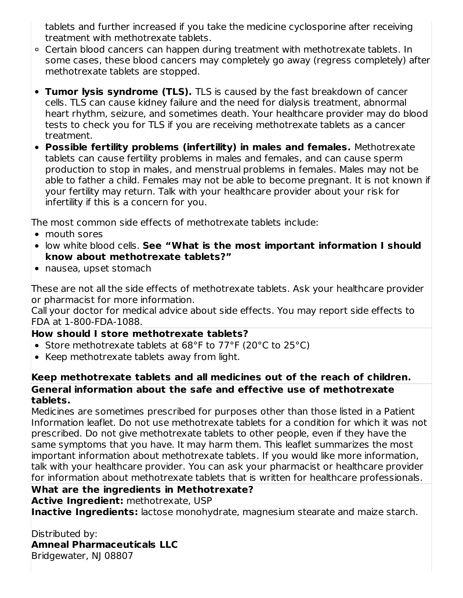tablets and further increased if you take the medicine cyclosporine after receiving treatment with methotrexate tablets.

- Certain blood cancers can happen during treatment with methotrexate tablets. In some cases, these blood cancers may completely go away (regress completely) after methotrexate tablets are stopped.
- **Tumor lysis syndrome (TLS).** TLS is caused by the fast breakdown of cancer cells. TLS can cause kidney failure and the need for dialysis treatment, abnormal heart rhythm, seizure, and sometimes death. Your healthcare provider may do blood tests to check you for TLS if you are receiving methotrexate tablets as a cancer treatment.
- **Possible fertility problems (infertility) in males and females.** Methotrexate tablets can cause fertility problems in males and females, and can cause sperm production to stop in males, and menstrual problems in females. Males may not be able to father a child. Females may not be able to become pregnant. It is not known if your fertility may return. Talk with your healthcare provider about your risk for infertility if this is a concern for you.

The most common side effects of methotrexate tablets include:

- mouth sores
- low white blood cells. **See "What is the most important information I should know about methotrexate tablets?"**
- nausea, upset stomach

These are not all the side effects of methotrexate tablets. Ask your healthcare provider or pharmacist for more information.

Call your doctor for medical advice about side effects. You may report side effects to FDA at 1-800-FDA-1088.

#### **How should I store methotrexate tablets?**

- Store methotrexate tablets at 68°F to 77°F (20°C to 25°C)
- Keep methotrexate tablets away from light.

#### **Keep methotrexate tablets and all medicines out of the reach of children. General information about the safe and effective use of methotrexate tablets.**

Medicines are sometimes prescribed for purposes other than those listed in a Patient Information leaflet. Do not use methotrexate tablets for a condition for which it was not prescribed. Do not give methotrexate tablets to other people, even if they have the same symptoms that you have. It may harm them. This leaflet summarizes the most important information about methotrexate tablets. If you would like more information, talk with your healthcare provider. You can ask your pharmacist or healthcare provider for information about methotrexate tablets that is written for healthcare professionals.

# **What are the ingredients in Methotrexate?**

**Active Ingredient:** methotrexate, USP

**Inactive Ingredients:** lactose monohydrate, magnesium stearate and maize starch.

#### Distributed by:

**Amneal Pharmaceuticals LLC**

Bridgewater, NJ 08807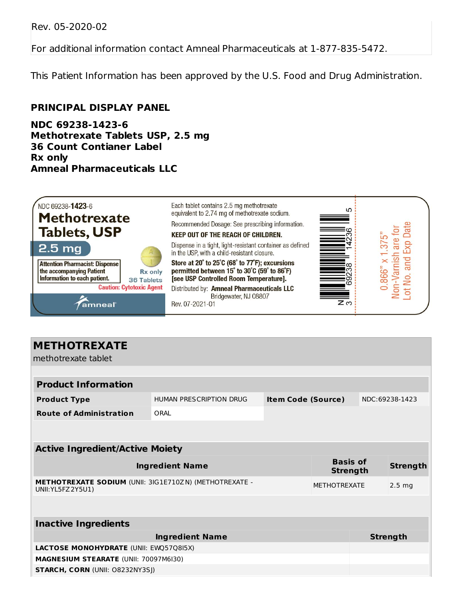Rev. 05-2020-02

For additional information contact Amneal Pharmaceuticals at 1-877-835-5472.

This Patient Information has been approved by the U.S. Food and Drug Administration.

#### **PRINCIPAL DISPLAY PANEL**

**NDC 69238-1423-6 Methotrexate Tablets USP, 2.5 mg 36 Count Contianer Label Rx only Amneal Pharmaceuticals LLC**



| HUMAN PRESCRIPTION DRUG                                                             |  |  |                           | NDC:69238-1423                                            |
|-------------------------------------------------------------------------------------|--|--|---------------------------|-----------------------------------------------------------|
| ORAL                                                                                |  |  |                           |                                                           |
|                                                                                     |  |  |                           |                                                           |
| <b>Active Ingredient/Active Moiety</b>                                              |  |  |                           |                                                           |
| <b>Ingredient Name</b>                                                              |  |  |                           | <b>Strength</b>                                           |
| <b>METHOTREXATE SODIUM (UNII: 3IG1E710ZN) (METHOTREXATE -</b><br>UNII: YL5FZ 2Y5U1) |  |  |                           | 2.5 <sub>ma</sub>                                         |
|                                                                                     |  |  |                           |                                                           |
|                                                                                     |  |  |                           |                                                           |
| <b>Ingredient Name</b>                                                              |  |  |                           | <b>Strength</b>                                           |
| LACTOSE MONOHYDRATE (UNII: EWQ57Q8I5X)                                              |  |  |                           |                                                           |
| <b>MAGNESIUM STEARATE (UNII: 70097M6I30)</b>                                        |  |  |                           |                                                           |
| <b>STARCH, CORN (UNII: O8232NY3SJ)</b>                                              |  |  |                           |                                                           |
|                                                                                     |  |  | <b>Item Code (Source)</b> | <b>Basis of</b><br><b>Strength</b><br><b>METHOTREXATE</b> |